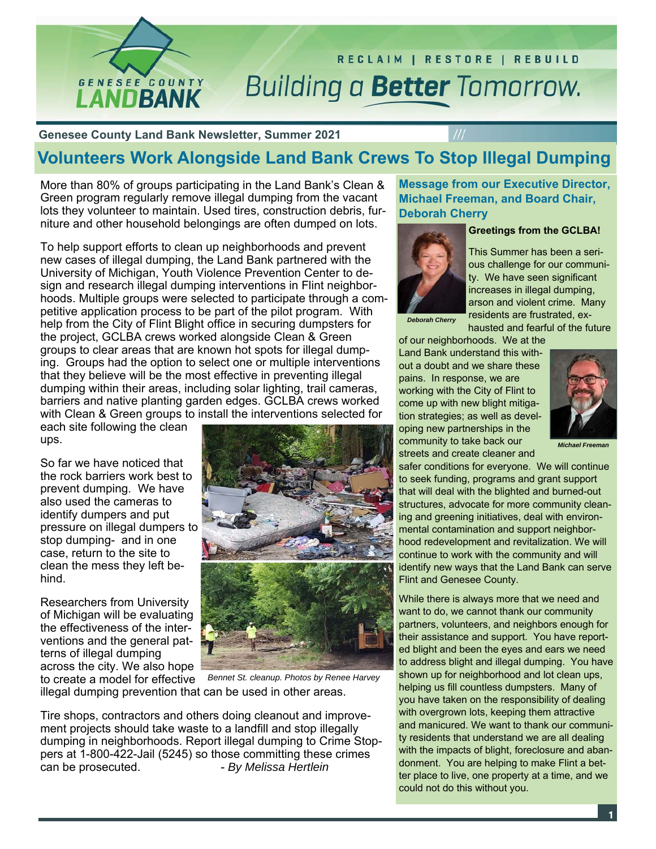

# RECLAIM | RESTORE | REBUILD **Building a Better Tomorrow.**

#### **Genesee County Land Bank Newsletter, Summer 2021**

### **Volunteers Work Alongside Land Bank Crews To Stop Illegal Dumping**

More than 80% of groups participating in the Land Bank's Clean & Green program regularly remove illegal dumping from the vacant lots they volunteer to maintain. Used tires, construction debris, furniture and other household belongings are often dumped on lots.

To help support efforts to clean up neighborhoods and prevent new cases of illegal dumping, the Land Bank partnered with the University of Michigan, Youth Violence Prevention Center to design and research illegal dumping interventions in Flint neighborhoods. Multiple groups were selected to participate through a competitive application process to be part of the pilot program. With help from the City of Flint Blight office in securing dumpsters for the project, GCLBA crews worked alongside Clean & Green groups to clear areas that are known hot spots for illegal dumping. Groups had the option to select one or multiple interventions that they believe will be the most effective in preventing illegal dumping within their areas, including solar lighting, trail cameras, barriers and native planting garden edges. GCLBA crews worked with Clean & Green groups to install the interventions selected for

each site following the clean ups.

So far we have noticed that the rock barriers work best to prevent dumping. We have also used the cameras to identify dumpers and put pressure on illegal dumpers to stop dumping- and in one case, return to the site to clean the mess they left behind.

Researchers from University of Michigan will be evaluating the effectiveness of the interventions and the general patterns of illegal dumping across the city. We also hope



to create a model for effective illegal dumping prevention that can be used in other areas. *Bennet St. cleanup. Photos by Renee Harvey* 

Tire shops, contractors and others doing cleanout and improvement projects should take waste to a landfill and stop illegally dumping in neighborhoods. Report illegal dumping to Crime Stoppers at 1-800-422-Jail (5245) so those committing these crimes can be prosecuted. - *By Melissa Hertlein*

### **Message from our Executive Director, Michael Freeman, and Board Chair, Deborah Cherry**



#### **Greetings from the GCLBA!**

*Deb Cherry*  residents are frustrated, ex-This Summer has been a serious challenge for our community. We have seen significant increases in illegal dumping, arson and violent crime. Many

*Deborah Cherry*

hausted and fearful of the future

of our neighborhoods. We at the Land Bank understand this without a doubt and we share these pains. In response, we are working with the City of Flint to come up with new blight mitigation strategies; as well as developing new partnerships in the community to take back our streets and create cleaner and



*Michael Freeman* 

safer conditions for everyone. We will continue to seek funding, programs and grant support that will deal with the blighted and burned-out structures, advocate for more community cleaning and greening initiatives, deal with environmental contamination and support neighborhood redevelopment and revitalization. We will continue to work with the community and will identify new ways that the Land Bank can serve Flint and Genesee County.

While there is always more that we need and want to do, we cannot thank our community partners, volunteers, and neighbors enough for their assistance and support. You have reported blight and been the eyes and ears we need to address blight and illegal dumping. You have shown up for neighborhood and lot clean ups, helping us fill countless dumpsters. Many of you have taken on the responsibility of dealing with overgrown lots, keeping them attractive and manicured. We want to thank our community residents that understand we are all dealing with the impacts of blight, foreclosure and abandonment. You are helping to make Flint a better place to live, one property at a time, and we could not do this without you.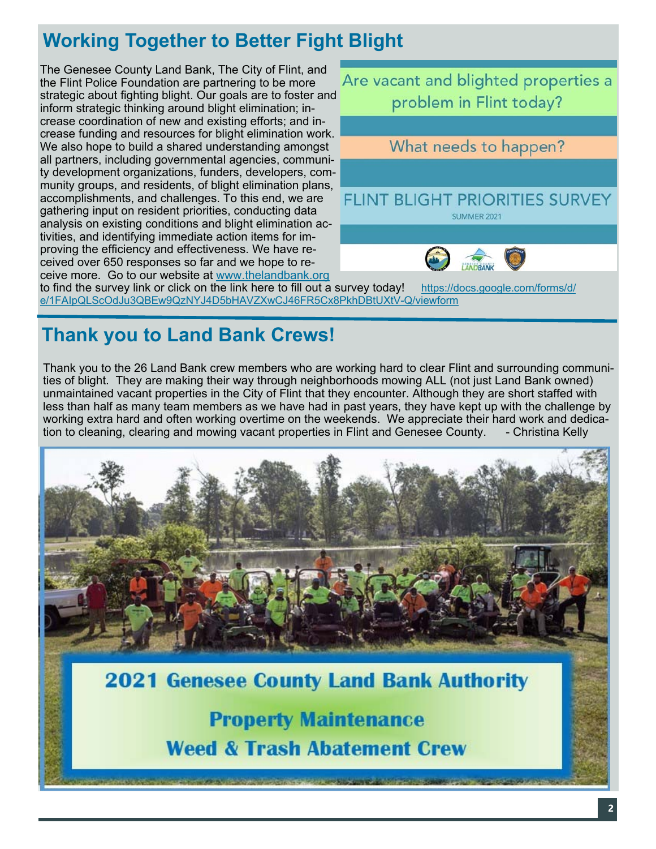## **Working Together to Better Fight Blight**

The Genesee County Land Bank, The City of Flint, and the Flint Police Foundation are partnering to be more strategic about fighting blight. Our goals are to foster and inform strategic thinking around blight elimination; increase coordination of new and existing efforts; and increase funding and resources for blight elimination work. We also hope to build a shared understanding amongst all partners, including governmental agencies, community development organizations, funders, developers, community groups, and residents, of blight elimination plans, accomplishments, and challenges. To this end, we are gathering input on resident priorities, conducting data analysis on existing conditions and blight elimination activities, and identifying immediate action items for improving the efficiency and effectiveness. We have received over 650 responses so far and we hope to receive more. Go to our website at www.thelandbank.org

Are vacant and blighted properties a problem in Flint today?

What needs to happen?

### **FLINT BLIGHT PRIORITIES SURVEY**

**SUMMER 2021** 



to find the survey link or click on the link here to fill out a survey today! https://docs.google.com/forms/d/ e/1FAIpQLScOdJu3QBEw9QzNYJ4D5bHAVZXwCJ46FR5Cx8PkhDBtUXtV-Q/viewform

# **Thank you to Land Bank Crews!**

Thank you to the 26 Land Bank crew members who are working hard to clear Flint and surrounding communities of blight. They are making their way through neighborhoods mowing ALL (not just Land Bank owned) unmaintained vacant properties in the City of Flint that they encounter. Although they are short staffed with less than half as many team members as we have had in past years, they have kept up with the challenge by working extra hard and often working overtime on the weekends. We appreciate their hard work and dedica-<br>tion to cleaning, clearing and mowing vacant properties in Flint and Genesee County. [16] - Christina Kelly tion to cleaning, clearing and mowing vacant properties in Flint and Genesee County.



**2021 Genesee County Land Bank Authority** 

**Property Maintenance Weed & Trash Abatement Crew**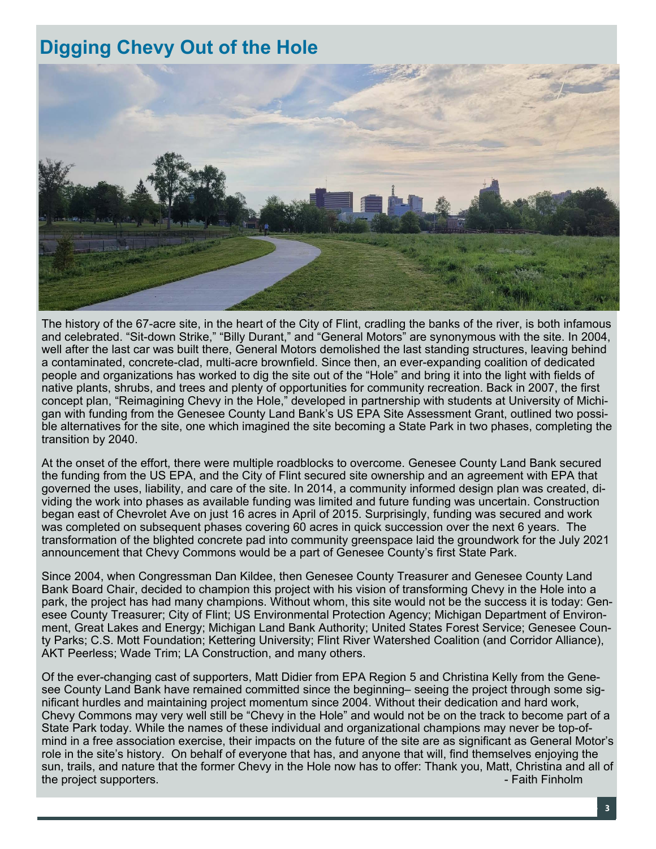### **Digging Chevy Out of the Hole**



The history of the 67-acre site, in the heart of the City of Flint, cradling the banks of the river, is both infamous and celebrated. "Sit-down Strike," "Billy Durant," and "General Motors" are synonymous with the site. In 2004, well after the last car was built there, General Motors demolished the last standing structures, leaving behind a contaminated, concrete-clad, multi-acre brownfield. Since then, an ever-expanding coalition of dedicated people and organizations has worked to dig the site out of the "Hole" and bring it into the light with fields of native plants, shrubs, and trees and plenty of opportunities for community recreation. Back in 2007, the first concept plan, "Reimagining Chevy in the Hole," developed in partnership with students at University of Michigan with funding from the Genesee County Land Bank's US EPA Site Assessment Grant, outlined two possible alternatives for the site, one which imagined the site becoming a State Park in two phases, completing the transition by 2040.

At the onset of the effort, there were multiple roadblocks to overcome. Genesee County Land Bank secured the funding from the US EPA, and the City of Flint secured site ownership and an agreement with EPA that governed the uses, liability, and care of the site. In 2014, a community informed design plan was created, dividing the work into phases as available funding was limited and future funding was uncertain. Construction began east of Chevrolet Ave on just 16 acres in April of 2015. Surprisingly, funding was secured and work was completed on subsequent phases covering 60 acres in quick succession over the next 6 years. The transformation of the blighted concrete pad into community greenspace laid the groundwork for the July 2021 announcement that Chevy Commons would be a part of Genesee County's first State Park.

Since 2004, when Congressman Dan Kildee, then Genesee County Treasurer and Genesee County Land Bank Board Chair, decided to champion this project with his vision of transforming Chevy in the Hole into a park, the project has had many champions. Without whom, this site would not be the success it is today: Genesee County Treasurer; City of Flint; US Environmental Protection Agency; Michigan Department of Environment, Great Lakes and Energy; Michigan Land Bank Authority; United States Forest Service; Genesee County Parks; C.S. Mott Foundation; Kettering University; Flint River Watershed Coalition (and Corridor Alliance), AKT Peerless; Wade Trim; LA Construction, and many others.

Of the ever-changing cast of supporters, Matt Didier from EPA Region 5 and Christina Kelly from the Genesee County Land Bank have remained committed since the beginning– seeing the project through some significant hurdles and maintaining project momentum since 2004. Without their dedication and hard work, Chevy Commons may very well still be "Chevy in the Hole" and would not be on the track to become part of a State Park today. While the names of these individual and organizational champions may never be top-ofmind in a free association exercise, their impacts on the future of the site are as significant as General Motor's role in the site's history. On behalf of everyone that has, and anyone that will, find themselves enjoying the sun, trails, and nature that the former Chevy in the Hole now has to offer: Thank you, Matt, Christina and all of the project supporters. - Faith Finholm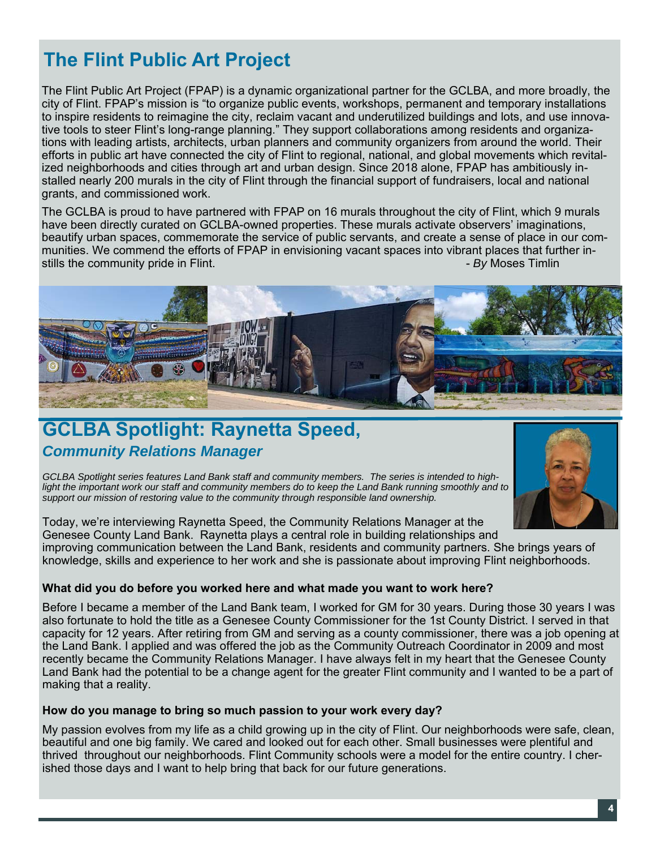# **The Flint Public Art Project**

The Flint Public Art Project (FPAP) is a dynamic organizational partner for the GCLBA, and more broadly, the city of Flint. FPAP's mission is "to organize public events, workshops, permanent and temporary installations to inspire residents to reimagine the city, reclaim vacant and underutilized buildings and lots, and use innovative tools to steer Flint's long-range planning." They support collaborations among residents and organizations with leading artists, architects, urban planners and community organizers from around the world. Their efforts in public art have connected the city of Flint to regional, national, and global movements which revitalized neighborhoods and cities through art and urban design. Since 2018 alone, FPAP has ambitiously installed nearly 200 murals in the city of Flint through the financial support of fundraisers, local and national grants, and commissioned work.

The GCLBA is proud to have partnered with FPAP on 16 murals throughout the city of Flint, which 9 murals have been directly curated on GCLBA-owned properties. These murals activate observers' imaginations, beautify urban spaces, commemorate the service of public servants, and create a sense of place in our communities. We commend the efforts of FPAP in envisioning vacant spaces into vibrant places that further instills the community pride in Flint. - *By* Moses Timlin



### **GCLBA Spotlight: Raynetta Speed,**  *Community Relations Manager*

*GCLBA Spotlight series features Land Bank staff and community members. The series is intended to highlight the important work our staff and community members do to keep the Land Bank running smoothly and to support our mission of restoring value to the community through responsible land ownership.* 



Today, we're interviewing Raynetta Speed, the Community Relations Manager at the Genesee County Land Bank. Raynetta plays a central role in building relationships and improving communication between the Land Bank, residents and community partners. She brings years of knowledge, skills and experience to her work and she is passionate about improving Flint neighborhoods.

### **What did you do before you worked here and what made you want to work here?**

Before I became a member of the Land Bank team, I worked for GM for 30 years. During those 30 years I was also fortunate to hold the title as a Genesee County Commissioner for the 1st County District. I served in that capacity for 12 years. After retiring from GM and serving as a county commissioner, there was a job opening at the Land Bank. I applied and was offered the job as the Community Outreach Coordinator in 2009 and most recently became the Community Relations Manager. I have always felt in my heart that the Genesee County Land Bank had the potential to be a change agent for the greater Flint community and I wanted to be a part of making that a reality.

### **How do you manage to bring so much passion to your work every day?**

My passion evolves from my life as a child growing up in the city of Flint. Our neighborhoods were safe, clean, beautiful and one big family. We cared and looked out for each other. Small businesses were plentiful and thrived throughout our neighborhoods. Flint Community schools were a model for the entire country. I cherished those days and I want to help bring that back for our future generations.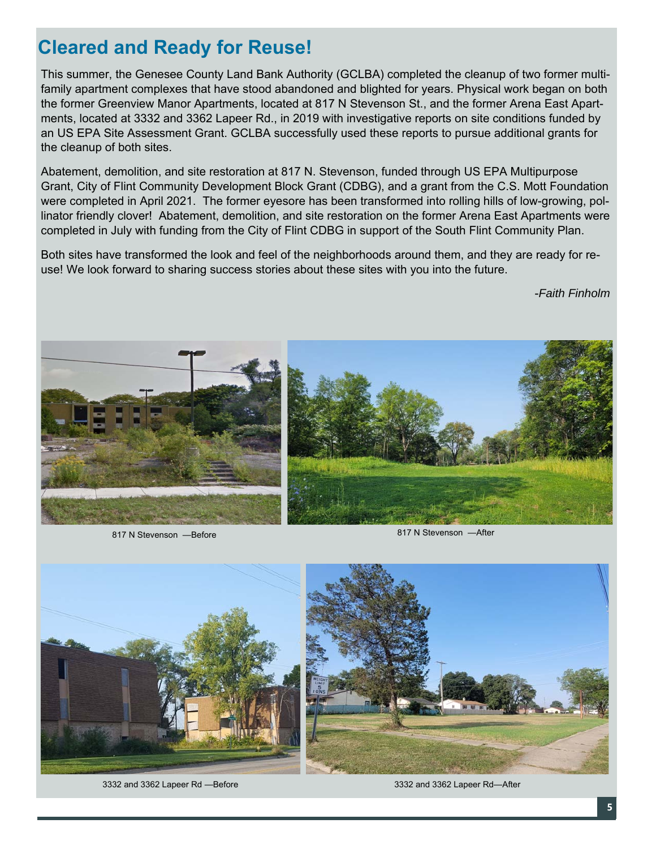### **Cleared and Ready for Reuse!**

This summer, the Genesee County Land Bank Authority (GCLBA) completed the cleanup of two former multifamily apartment complexes that have stood abandoned and blighted for years. Physical work began on both the former Greenview Manor Apartments, located at 817 N Stevenson St., and the former Arena East Apartments, located at 3332 and 3362 Lapeer Rd., in 2019 with investigative reports on site conditions funded by an US EPA Site Assessment Grant. GCLBA successfully used these reports to pursue additional grants for the cleanup of both sites.

Abatement, demolition, and site restoration at 817 N. Stevenson, funded through US EPA Multipurpose Grant, City of Flint Community Development Block Grant (CDBG), and a grant from the C.S. Mott Foundation were completed in April 2021. The former eyesore has been transformed into rolling hills of low-growing, pollinator friendly clover! Abatement, demolition, and site restoration on the former Arena East Apartments were completed in July with funding from the City of Flint CDBG in support of the South Flint Community Plan.

Both sites have transformed the look and feel of the neighborhoods around them, and they are ready for reuse! We look forward to sharing success stories about these sites with you into the future.

-*Faith Finholm* 



817 N Stevenson —Before 817 N Stevenson —After



3332 and 3362 Lapeer Rd —Before 3332 and 3362 Lapeer Rd—After